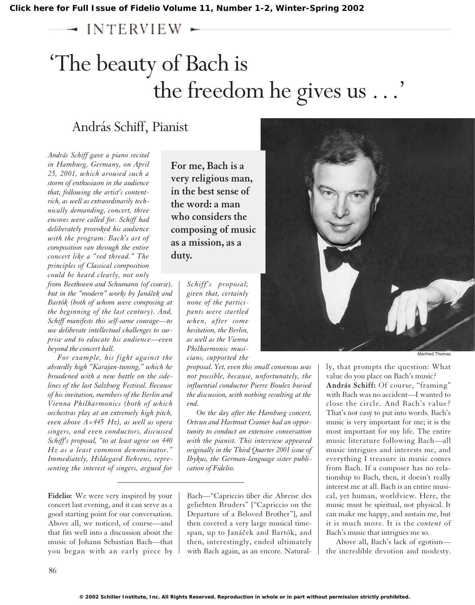$\sim$  INTERVIEW  $\sim$ 

# 'The beauty of Bach is the freedom he gives us ...'

# András Schiff, Pianist

*András Schiff gave a piano recital in Hamburg, Germany, on April 25, 2001, which aroused such a storm of enthusiasm in the audience that, following the artist's contentrich, as well as extraordinarily technically demanding, concert, three encores were called for. Schiff had deliberately provoked his audience with the program: Bach's art of composition ran through the entire concert like a "red thread." The principles of Classical composition could be heard clearly, not only*

*from Beethoven and Schumann (of course),* but in the "modern" works by Janáček and *Bartók (both of whom were composing at the beginning of the last century). And, Schiff manifests this self-same courage—to use deliberate intellectual challenges to surprise and to educate his audience—even beyond the concert hall.*

*For example, his fight against the absurdly high "Karajan-tuning," which he broadened with a new battle on the sidelines of the last Salzburg Festival. Because of his invitation, members of the Berlin and Vienna Philharmonics (both of which orchestras play at an extremely high pitch, even above A=445 Hz), as well as opera singers, and even conductors, discussed Schiff's proposal, "to at least agree on 440 Hz as a least common denominator." Immediately, Hildegard Behrens, representing the interest of singers, argued for*

**Fidelio:** We were very inspired by your concert last evening, and it can serve as a good starting point for our conversation. Above all, we noticed, of course—and that fits well into a discussion about the music of Johann Sebastian Bach—that you began with an early piece by

**For me, Bach is a very religious man, in the best sense of the word: a man who considers the composing of music as a mission, as a duty.**

> *Schiff's proposal; given that, certainly none of the participants were startled when, after some hesitation, the Berlin, as well as the Vienna Philharmonic musicians, supported the*

*proposal. Yet, even this small consensus was not possible, because, unfortunately, the influential conductor Pierre Boulez buried the discussion, with nothing resulting at the end.* 

*On the day after the Hamburg concert, Ortrun and Hartmut Cramer had an opportunity to conduct an extensive conversation with the pianist. This interview appeared originally in the Third Quarter 2001 issue of Ibykus, the German-language sister publication of Fidelio.*

Bach—"Capriccio über die Abreise des geliebten Bruders" ["Capriccio on the Departure of a Beloved Brother"], and then covered a very large musical timespan, up to Janáček and Bartók, and then, interestingly, ended ultimately with Bach again, as an encore. Natural-



ly, that prompts the question: What value do you place on Bach's music? **András Schiff:** Of course, "framing" with Bach was no accident—I wanted to close the circle. And Bach's value? That's not easy to put into words. Bach's music is very important for me; it is the most important for my life. The entire music literature following Bach—all music intrigues and interests me, and everything I treasure in music comes from Bach. If a composer has no relationship to Bach, then, it doesn't really interest me at all. Bach is an entire musical, yet human, worldview. Here, the music must be spiritual, not physical. It can make me happy, and sustain me, but it is much more. It is the *content* of Bach's music that intrigues me so.

Above all, Bach's lack of egotism the incredible devotion and modesty.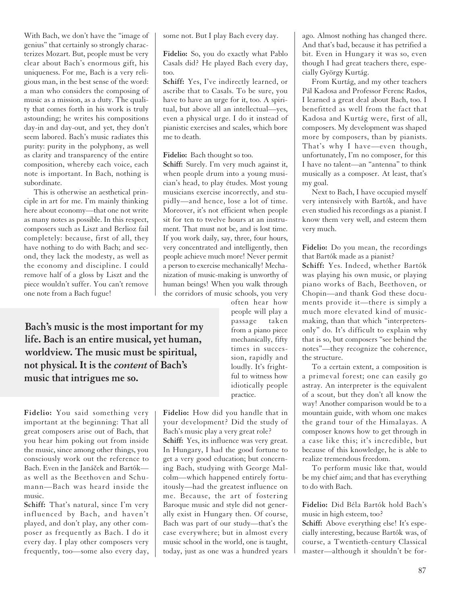With Bach, we don't have the "image of genius" that certainly so strongly characterizes Mozart. But, people must be very clear about Bach's enormous gift, his uniqueness. For me, Bach is a very religious man, in the best sense of the word: a man who considers the composing of music as a mission, as a duty. The quality that comes forth in his work is truly astounding; he writes his compositions day-in and day-out, and yet, they don't seem labored. Bach's music radiates this purity: purity in the polyphony, as well as clarity and transparency of the entire composition, whereby each voice, each note is important. In Bach, nothing is subordinate.

This is otherwise an aesthetical principle in art for me. I'm mainly thinking here about economy—that one not write as many notes as possible. In this respect, composers such as Liszt and Berlioz fail completely: because, first of all, they have nothing to do with Bach; and second, they lack the modesty, as well as the economy and discipline. I could remove half of a gloss by Liszt and the piece wouldn't suffer. You can't remove one note from a Bach fugue!

**Bach's music is the most important for my life. Bach is an entire musical, yet human, worldview. The music must be spiritual, not physical. It is the** *content* **of Bach's music that intrigues me so.**

**Fidelio:** You said something very important at the beginning: That all great composers arise out of Bach, that you hear him poking out from inside the music, since among other things, you consciously work out the reference to Bach. Even in the Janáček and Bartók as well as the Beethoven and Schumann—Bach was heard inside the music.

**Schiff:** That's natural, since I'm very influenced by Bach, and haven't played, and don't play, any other composer as frequently as Bach. I do it every day. I play other composers very frequently, too—some also every day, some not. But I play Bach every day.

**Fidelio:** So, you do exactly what Pablo Casals did? He played Bach every day, too.

**Schiff:** Yes, I've indirectly learned, or ascribe that to Casals. To be sure, you have to have an urge for it, too. A spiritual, but above all an intellectual—yes, even a physical urge. I do it instead of pianistic exercises and scales, which bore me to death.

#### **Fidelio:** Bach thought so too.

**Schiff:** Surely. I'm very much against it, when people drum into a young musician's head, to play études. Most young musicians exercise incorrectly, and stupidly—and hence, lose a lot of time. Moreover, it's not efficient when people sit for ten to twelve hours at an instrument. That must not be, and is lost time. If you work daily, say, three, four hours, very concentrated and intelligently, then people achieve much more! Never permit a person to exercise mechanically! Mechanization of music-making is unworthy of human beings! When you walk through the corridors of music schools, you very

often hear how people will play a passage taken from a piano piece mechanically, fifty times in succession, rapidly and loudly. It's frightful to witness how idiotically people practice.

**Fidelio:** How did you handle that in your development? Did the study of Bach's music play a very great role? **Schiff:** Yes, its influence was very great. In Hungary, I had the good fortune to get a very good education; but concerning Bach, studying with George Malcolm—which happened entirely fortuitously—had the greatest influence on me. Because, the art of fostering Baroque music and style did not generally exist in Hungary then. Of course, Bach was part of our study—that's the case everywhere; but in almost every music school in the world, one is taught, today, just as one was a hundred years ago. Almost nothing has changed there. And that's bad, because it has petrified a bit. Even in Hungary it was so, even though I had great teachers there, especially György Kurtág.

From Kurtág, and my other teachers Pál Kadosa and Professor Ferenc Rados, I learned a great deal about Bach, too. I benefitted as well from the fact that Kadosa and Kurtág were, first of all, composers. My development was shaped more by composers, than by pianists. That's why I have—even though, unfortunately, I'm no composer, for this I have no talent—an "antenna" to think musically as a composer. At least, that's my goal.

Next to Bach, I have occupied myself very intensively with Bartók, and have even studied his recordings as a pianist. I know them very well, and esteem them very much.

**Fidelio:** Do you mean, the recordings that Bartók made as a pianist?

**Schiff:** Yes. Indeed, whether Bartók was playing his own music, or playing piano works of Bach, Beethoven, or Chopin—and thank God these documents provide it—there is simply a much more elevated kind of musicmaking, than that which "interpretersonly" do. It's difficult to explain why that is so, but composers "see behind the notes"—they recognize the coherence, the structure.

To a certain extent, a composition is a primeval forest; one can easily go astray. An interpreter is the equivalent of a scout, but they don't all know the way! Another comparison would be to a mountain guide, with whom one makes the grand tour of the Himalayas. A composer knows how to get through in a case like this; it's incredible, but because of this knowledge, he is able to realize tremendous freedom.

To perform music like that, would be my chief aim; and that has everything to do with Bach.

**Fidelio:** Did Béla Bartók hold Bach's music in high esteem, too?

**Schiff:** Above everything else! It's especially interesting, because Bartók was, of course, a Twentieth-century Classical master—although it shouldn't be for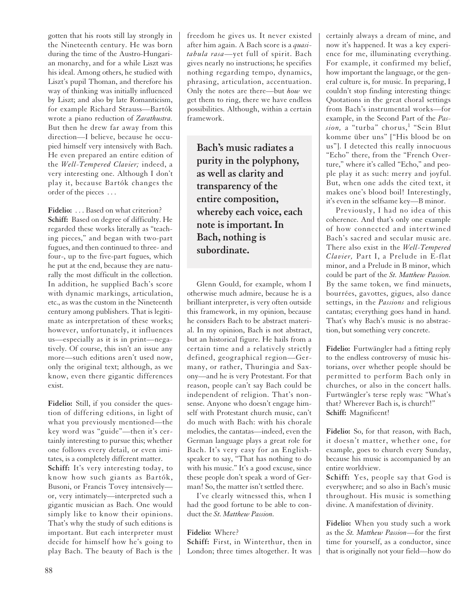gotten that his roots still lay strongly in the Nineteenth century. He was born during the time of the Austro-Hungarian monarchy, and for a while Liszt was his ideal. Among others, he studied with Liszt's pupil Thoman, and therefore his way of thinking was initially influenced by Liszt; and also by late Romanticism, for example Richard Strauss—Bartók wrote a piano reduction of *Zarathustra.* But then he drew far away from this direction—I believe, because he occupied himself very intensively with Bach. He even prepared an entire edition of the *Well-Tempered Clavier;* indeed, a very interesting one. Although I don't play it, because Bartók changes the order of the pieces . . .

Fidelio: . . . Based on what criterion? **Schiff:** Based on degree of difficulty. He regarded these works literally as "teaching pieces," and began with two-part fugues, and then continued to three- and four-, up to the five-part fugues, which he put at the end, because they are naturally the most difficult in the collection. In addition, he supplied Bach's score with dynamic markings, articulation, etc., as was the custom in the Nineteenth century among publishers. That is legitimate as interpretation of these works; however, unfortunately, it influences us—especially as it is in print—negatively. Of course, this isn't an issue any more—such editions aren't used now, only the original text; although, as we know, even there gigantic differences exist.

**Fidelio:** Still, if you consider the question of differing editions, in light of what you previously mentioned—the key word was "guide"—then it's certainly interesting to pursue this; whether one follows every detail, or even imitates, is a completely different matter. **Schiff:** It's very interesting today, to know how such giants as Bartók, Busoni, or Francis Tovey intensively or, very intimately—interpreted such a gigantic musician as Bach. One would simply like to know their opinions. That's why the study of such editions is important. But each interpreter must decide for himself how he's going to play Bach. The beauty of Bach is the freedom he gives us. It never existed after him again. A Bach score is a *quasitabula rasa*—yet full of spirit. Bach gives nearly no instructions; he specifies nothing regarding tempo, dynamics, phrasing, articulation, accentuation. Only the notes are there—but *how* we get them to ring, there we have endless possibilities. Although, within a certain framework.

**Bach's music radiates a purity in the polyphony, as well as clarity and transparency of the entire composition, whereby each voice, each note is important. In Bach, nothing is subordinate.**

Glenn Gould, for example, whom I otherwise much admire, because he is a brilliant interpreter, is very often outside this framework, in my opinion, because he considers Bach to be abstract material. In my opinion, Bach is not abstract, but an historical figure. He hails from a certain time and a relatively strictly defined, geographical region—Germany, or rather, Thuringia and Saxony—and he is very Protestant. For that reason, people can't say Bach could be independent of religion. That's nonsense. Anyone who doesn't engage himself with Protestant church music, can't do much with Bach: with his chorale melodies, the cantatas—indeed, even the German language plays a great role for Bach. It's very easy for an Englishspeaker to say, "That has nothing to do with his music." It's a good excuse, since these people don't speak a word of German! So, the matter isn't settled there.

I've clearly witnessed this, when I had the good fortune to be able to conduct the *St. Matthew Passion.*

## **Fidelio:** Where?

**Schiff:** First, in Winterthur, then in London; three times altogether. It was

certainly always a dream of mine, and now it's happened. It was a key experience for me, illuminating everything. For example, it confirmed my belief, how important the language, or the general culture is, for music. In preparing, I couldn't stop finding interesting things: Quotations in the great choral settings from Bach's instrumental works—for example, in the Second Part of the *Pas*sion, a "turba" chorus,<sup>1</sup> "Sein Blut komme über uns" ["His blood be on us"]. I detected this really innocuous "Echo" there, from the "French Overture," where it's called "Echo," and people play it as such: merry and joyful. But, when one adds the cited text, it makes one's blood boil! Interestingly, it's even in the selfsame key—B minor.

Previously, I had no idea of this coherence. And that's only one example of how connected and intertwined Bach's sacred and secular music are. There also exist in the *Well-Tempered Clavier,* Part I, a Prelude in E-flat minor, and a Prelude in B minor, which could be part of the *St. Matthew Passion.* By the same token, we find minuets, bourrées, gavottes, gigues, also dance settings, in the *Passions* and religious cantatas; everything goes hand in hand. That's why Bach's music is no abstraction, but something very concrete.

**Fidelio:** Furtwängler had a fitting reply to the endless controversy of music historians, over whether people should be permitted to perform Bach only in churches, or also in the concert halls. Furtwängler's terse reply was: "What's that? Wherever Bach is, is church!" **Schiff:** Magnificent!

**Fidelio:** So, for that reason, with Bach, it doesn't matter, whether one, for example, goes to church every Sunday, because his music is accompanied by an entire worldview.

**Schiff:** Yes, people say that God is everywhere; and so also in Bach's music throughout. His music is something divine. A manifestation of divinity.

**Fidelio:** When you study such a work as the *St. Matthew Passion*—for the first time for yourself, as a conductor, since that is originally not your field—how do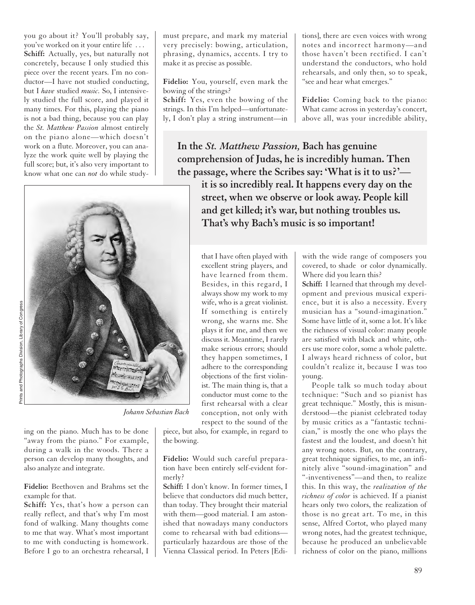you go about it? You'll probably say, you've worked on it your entire life . . . **Schiff:** Actually, yes, but naturally not concretely, because I only studied this piece over the recent years. I'm no conductor—I have not studied conducting, but I *have* studied *music.* So, I intensively studied the full score, and played it many times. For this, playing the piano is not a bad thing, because you can play the *St. Matthew Passion* almost entirely on the piano alone—which doesn't work on a flute. Moreover, you can analyze the work quite well by playing the full score; but, it's also very important to know what one can *not* do while study-



*Johann Sebastian Bach*

ing on the piano. Much has to be done "away from the piano." For example, during a walk in the woods. There a person can develop many thoughts, and also analyze and integrate.

### **Fidelio:** Beethoven and Brahms set the example for that.

**Schiff:** Yes, that's how a person can really reflect, and that's why I'm most fond of walking. Many thoughts come to me that way. What's most important to me with conducting is homework. Before I go to an orchestra rehearsal, I must prepare, and mark my material very precisely: bowing, articulation, phrasing, dynamics, accents. I try to make it as precise as possible.

**Fidelio:** You, yourself, even mark the bowing of the strings?

**Schiff:** Yes, even the bowing of the strings. In this I'm helped—unfortunately, I don't play a string instrument—in

tions], there are even voices with wrong notes and incorrect harmony—and those haven't been rectified. I can't understand the conductors, who hold rehearsals, and only then, so to speak, "see and hear what emerges."

**Fidelio:** Coming back to the piano: What came across in yesterday's concert, above all, was your incredible ability,

**In the** *St. Matthew Passion,* **Bach has genuine comprehension of Judas, he is incredibly human. Then the passage, where the Scribes say: 'What is it to us?' it is so incredibly real. It happens every day on the street, when we observe or look away. People kill and get killed; it's war, but nothing troubles us. That's why Bach's music is so important!** 

> that I have often played with excellent string players, and have learned from them. Besides, in this regard, I always show my work to my wife, who is a great violinist. If something is entirely wrong, she warns me. She plays it for me, and then we discuss it. Meantime, I rarely make serious errors; should they happen sometimes, I adhere to the corresponding objections of the first violinist. The main thing is, that a conductor must come to the first rehearsal with a clear conception, not only with respect to the sound of the

piece, but also, for example, in regard to the bowing.

**Fidelio:** Would such careful preparation have been entirely self-evident formerly?

**Schiff:** I don't know. In former times, I believe that conductors did much better, than today. They brought their material with them—good material. I am astonished that nowadays many conductors come to rehearsal with bad editions particularly hazardous are those of the Vienna Classical period. In Peters [Ediwith the wide range of composers you covered, to shade or color dynamically. Where did you learn this?

**Schiff:** I learned that through my development and previous musical experience, but it is also a necessity. Every musician has a "sound-imagination." Some have little of it, some a lot. It's like the richness of visual color: many people are satisfied with black and white, others use more color, some a whole palette. I always heard richness of color, but couldn't realize it, because I was too young.

People talk so much today about technique: "Such and so pianist has great technique." Mostly, this is misunderstood—the pianist celebrated today by music critics as a "fantastic technician," is mostly the one who plays the fastest and the loudest, and doesn't hit any wrong notes. But, on the contrary, great technique signifies, to me, an infinitely alive "sound-imagination" and "-inventiveness"—and then, to realize this. In this way, the *realization of the richness of color* is achieved. If a pianist hears only two colors, the realization of those is no great art. To me, in this sense, Alfred Cortot, who played many wrong notes, had the greatest technique, because he produced an unbelievable richness of color on the piano, millions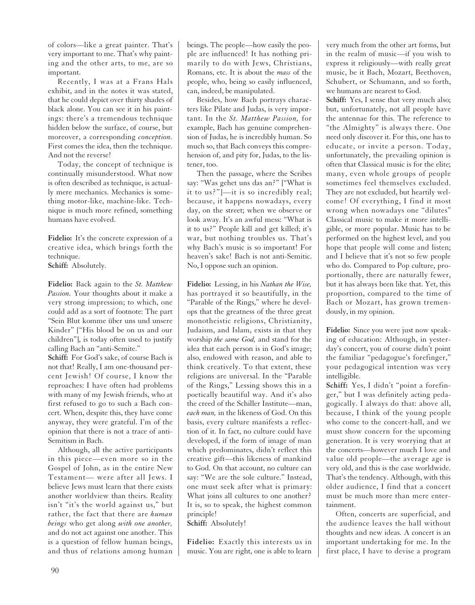of colors—like a great painter. That's very important to me. That's why painting and the other arts, to me, are so important.

Recently, I was at a Frans Hals exhibit, and in the notes it was stated, that he could depict over thirty shades of black alone. You can see it in his paintings: there's a tremendous technique hidden below the surface, of course, but moreover, a corresponding *conception.* First comes the idea, then the technique. And not the reverse!

Today, the concept of technique is continually misunderstood. What now is often described as technique, is actually mere mechanics. Mechanics is something motor-like, machine-like. Technique is much more refined, something humans have evolved.

**Fidelio:** It's the concrete expression of a creative idea, which brings forth the technique. **Schiff:** Absolutely.

**Fidelio:** Back again to the *St. Matthew Passion.* Your thoughts about it make a very strong impression; to which, one could add as a sort of footnote: The part "Sein Blut komme über uns und unsere Kinder" ["His blood be on us and our children"], is today often used to justify calling Bach an "anti-Semite."

**Schiff:** For God's sake, of course Bach is not that! Really, I am one-thousand percent Jewish! Of course, I know the reproaches: I have often had problems with many of my Jewish friends, who at first refused to go to such a Bach concert. When, despite this, they have come anyway, they were grateful. I'm of the opinion that there is not a trace of anti-Semitism in Bach.

Although, all the active participants in this piece—even more so in the Gospel of John, as in the entire New Testament— were after all Jews. I believe Jews must learn that there exists another worldview than theirs. Reality isn't "it's the world against us," but rather, the fact that there are *human beings* who get along *with one another,* and do not act against one another. This is a question of fellow human beings, and thus of relations among human beings. The people—how easily the people are influenced! It has nothing primarily to do with Jews, Christians, Romans, etc. It is about the *mass* of the people, who, being so easily influenced, can, indeed, be manipulated.

Besides, how Bach portrays characters like Pilate and Judas, is very important. In the *St. Matthew Passion,* for example, Bach has genuine comprehension of Judas, he is incredibly human. So much so, that Bach conveys this comprehension of, and pity for, Judas, to the listener, too.

Then the passage, where the Scribes say: "Was gehet uns das an?" ["What is it to us?"]—it is so incredibly real; because, it happens nowadays, every day, on the street; when we observe or look away. It's an awful mess: "What is it to us?" People kill and get killed; it's war, but nothing troubles us. That's why Bach's music is so important! For heaven's sake! Bach is not anti-Semitic. No, I oppose such an opinion.

**Fidelio:** Lessing, in his *Nathan the Wise,* has portrayed it so beautifully, in the "Parable of the Rings," where he develops that the greatness of the three great monotheistic religions, Christianity, Judaism, and Islam, exists in that they worship *the same God,* and stand for the idea that each person is in God's image; also, endowed with reason, and able to think creatively. To that extent, these religions are universal. In the "Parable of the Rings," Lessing shows this in a poetically beautiful way. And it's also the creed of the Schiller Institute—man, *each man,* in the likeness of God. On this basis, every culture manifests a reflection of it. In fact, no culture could have developed, if the form of image of man which predominates, didn't reflect this creative gift—this likeness of mankind to God. On that account, no culture can say: "We are the sole culture." Instead, one must seek after what is primary: What joins all cultures to one another? It is, so to speak, the highest common principle!

**Schiff:** Absolutely!

**Fidelio:** Exactly this interests us in music. You are right, one is able to learn very much from the other art forms, but in the realm of music—if you wish to express it religiously—with really great music, be it Bach, Mozart, Beethoven, Schubert, or Schumann, and so forth, we humans are nearest to God.

**Schiff:** Yes, I sense that very much also; but, unfortunately, not all people have the antennae for this. The reference to "the Almighty" is always there. One need only discover it. For this, one has to educate, or invite a person. Today, unfortunately, the prevailing opinion is often that Classical music is for the elite; many, even whole groups of people sometimes feel themselves excluded. They are not excluded, but heartily welcome! Of everything, I find it most wrong when nowadays one "dilutes" Classical music to make it more intelligible, or more popular. Music has to be performed on the highest level, and you hope that people will come and listen; and I believe that it's not so few people who do. Compared to Pop culture, proportionally, there are naturally fewer, but it has always been like that. Yet, this proportion, compared to the time of Bach or Mozart, has grown tremendously, in my opinion.

**Fidelio:** Since you were just now speaking of education: Although, in yesterday's concert, you of course didn't point the familiar "pedagogue's forefinger," your pedagogical intention was very intelligible.

**Schiff:** Yes, I didn't "point a forefinger," but I was definitely acting pedagogically. I always do that: above all, because, I think of the young people who come to the concert-hall, and we must show concern for the upcoming generation. It is very worrying that at the concerts—however much I love and value old people—the average age is very old, and this is the case worldwide. That's the tendency. Although, with this older audience, I find that a concert must be much more than mere entertainment.

Often, concerts are superficial, and the audience leaves the hall without thoughts and new ideas. A concert is an important undertaking for me. In the first place, I have to devise a program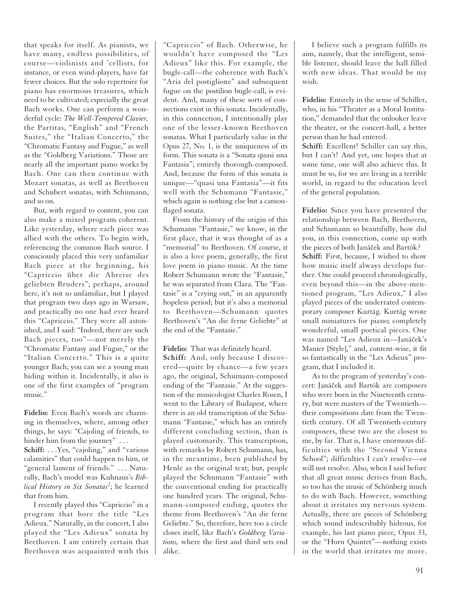that speaks for itself. As pianists, we have many, endless possibilities, of course—violinists and 'cellists, for instance, or even wind-players, have far fewer choices. But the solo repertoire for piano has enormous treasures, which need to be cultivated; especially the great Bach works. One can perform a wonderful cycle: *The Well-Tempered Clavier,* the Partitas, "English" and "French Suites," the "Italian Concerto," the "Chromatic Fantasy and Fugue," as well as the "Goldberg Variations." Those are nearly all the important piano works by Bach. One can then continue with Mozart sonatas, as well as Beethoven and Schubert sonatas, with Schumann, and so on.

But, with regard to content, you can also make a mixed program coherent. Like yesterday, where each piece was allied with the others. To begin with, referencing the common Bach source. I consciously placed this very unfamiliar Bach piece at the beginning, his "Capriccio über die Abreise des geliebten Bruders"; perhaps, around here, it's not so unfamiliar, but I played that program two days ago in Warsaw, and practically no one had ever heard this "Capriccio." They were all astonished, and I said: "Indeed, there are such Bach pieces, too"—not merely the "Chromatic Fantasy and Fugue," or the "Italian Concerto." This is a quite younger Bach; you can see a young man hiding within it. Incidentally, it also is one of the first examples of "program music."

**Fidelio:** Even Bach's words are charming in themselves, where, among other things, he says: "Cajoling of friends, to hinder him from the journey" ... **Schiff:** . . .Yes, "cajoling," and "various calamities" that could happen to him, or "general lament of friends." . . . Naturally, Bach's model was Kuhnaus's *Biblical History in Six Sonatas*<sup>2</sup> ; he learned that from him.

I recently played this "Capriccio" in a program that bore the title "Les Adieux." Naturally, in the concert, I also played the "Les Adieux" sonata by Beethoven. I am entirely certain that Beethoven was acquainted with this "Capriccio" of Bach. Otherwise, he wouldn't have composed the "Les Adieux" like this. For example, the bugle-call—the coherence with Bach's "Aria del postiglione" and subsequent fugue on the postilion bugle-call, is evident. And, many of these sorts of connections exist in this sonata. Incidentally, in this connection, I intentionally play one of the lesser-known Beethoven sonatas. What I particularly value in the Opus 27, No. 1, is the uniqueness of its form. This sonata is a "Sonata quasi una Fantasia"; entirely thorough-composed. And, because the form of this sonata is unique—"quasi una Fantasia"—it fits well with the Schumann "Fantasie," which again is nothing else but a camouflaged sonata.

From the history of the origin of this Schumann "Fantasie," we know, in the first place, that it was thought of as a "memorial" to Beethoven. Of course, it is also a love poem, generally, the first love poem in piano music. At the time Robert Schumann wrote the "Fantasie," he was separated from Clara. The "Fantasie" is a "crying out," in an apparently hopeless period; but it's also a memorial to Beethoven—Schumann quotes Beethoven's "An die ferne Geliebte" at the end of the "Fantasie."

**Fidelio:** That was definitely heard.

**Schiff:** And, only because I discovered—quite by chance—a few years ago, the original, Schumann-composed ending of the "Fantasie." At the suggestion of the musicologist Charles Rosen, I went to the Library of Budapest, where there is an old transcription of the Schumann "Fantasie," which has an entirely different concluding section, than is played customarily. This transcription, with remarks by Robert Schumann, has, in the meantime, been published by Henle as the original text; but, people played the Schumann "Fantasie" with the conventional ending for practically one hundred years. The original, Schumann-composed ending, quotes the theme from Beethoven's "An die ferne Geliebte." So, therefore, here too a circle closes itself, like Bach's *Goldberg Variations,* where the first and third sets end alike.

I believe such a program fulfills its aim, namely, that the intelligent, sensible listener, should leave the hall filled with new ideas. That would be my wish.

**Fidelio:** Entirely in the sense of Schiller, who, in his "Theater as a Moral Institution," demanded that the onlooker leave the theater, or the concert-hall, a better person than he had entered.

**Schiff:** Excellent! Schiller can say this, but I can't! And yet, one hopes that at some time, one will also achieve this. It must be so, for we are living in a terrible world, in regard to the education level of the general population.

**Fidelio:** Since you have presented the relationship between Bach, Beethoven, and Schumann so beautifully, how did you, in this connection, come up with the pieces of both Janáček and Bartók? **Schiff:** First, because, I wished to show how music itself always develops further. One could proceed chronologically, even beyond this—in the above-mentioned program, "Les Adieux," I also played pieces of the underrated contemporary composer Kurtág. Kurtág wrote small miniatures for piano; completely wonderful, small poetical pieces. One was named "Les Adieux in—Janáček's Manier [Style]," and, content-wise, it fit so fantastically in the "Les Adieux" program, that I included it.

As to the program of yesterday's concert: Janáček and Bartók are composers who were born in the Nineteenth century, but were masters of the Twentieth their compositions date from the Twentieth century. Of all Twentieth-century composers, these two are the closest to me, by far. That is, I have enormous difficulties with the "Second Vienna School"; difficulties I can't resolve—or will not resolve. Also, when I said before that all great music derives from Bach, so too has the music of Schönberg much to do with Bach. However, something about it irritates my nervous system. Actually, there are pieces of Schönberg which sound indescribably hideous, for example, his last piano piece, Opus 33, or the "Horn Quintet"—nothing exists in the world that irritates me more.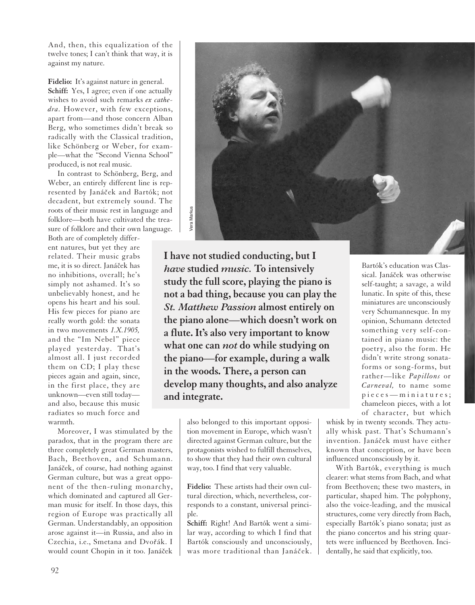And, then, this equalization of the twelve tones; I can't think that way, it is against my nature.

Fidelio: It's against nature in general. **Schiff:** Yes, I agree; even if one actually wishes to avoid such remarks *ex cathedra.* However, with few exceptions, apart from—and those concern Alban Berg, who sometimes didn't break so radically with the Classical tradition, like Schönberg or Weber, for example—what the "Second Vienna School" produced, is not real music.

In contrast to Schönberg, Berg, and Weber, an entirely different line is represented by Janáček and Bartók; not decadent, but extremely sound. The roots of their music rest in language and folklore—both have cultivated the treasure of folklore and their own language.

Both are of completely different natures, but yet they are related. Their music grabs me, it is so direct. Janáček has no inhibitions, overall; he's simply not ashamed. It's so unbelievably honest, and he opens his heart and his soul. His few pieces for piano are really worth gold: the sonata in two movements *1.X.1905,* and the "Im Nebel" piece played yesterday. That's almost all. I just recorded them on CD; I play these pieces again and again, since, in the first place, they are unknown—even still today and also, because this music radiates so much force and warmth.

Moreover, I was stimulated by the paradox, that in the program there are three completely great German masters, Bach, Beethoven, and Schumann. Janáček, of course, had nothing against German culture, but was a great opponent of the then-ruling monarchy, which dominated and captured all German music for itself. In those days, this region of Europe was practically all German. Understandably, an opposition arose against it—in Russia, and also in Czechia, i.e., Smetana and Dvořák. I would count Chopin in it too. Janáček



**I have not studied conducting, but I** *have* **studied** *music.* **To intensively study the full score, playing the piano is not a bad thing, because you can play the** *St. Matthew Passion* **almost entirely on the piano alone—which doesn't work on a flute. It's also very important to know what one can** *not* **do while studying on the piano—for example, during a walk in the woods. There, a person can develop many thoughts, and also analyze and integrate.**

> also belonged to this important opposition movement in Europe, which wasn't directed against German culture, but the protagonists wished to fulfill themselves, to show that they had their own cultural way, too. I find that very valuable.

**Fidelio:** These artists had their own cultural direction, which, nevertheless, corresponds to a constant, universal principle.

**Schiff:** Right! And Bartók went a similar way, according to which I find that Bartók consciously and unconsciously, was more traditional than Janáček.

Bartók's education was Classical. Janáček was otherwise self-taught; a savage, a wild lunatic. In spite of this, these miniatures are unconsciously very Schumannesque. In my opinion, Schumann detected something very self-contained in piano music: the poetry, also the form. He didn't write strong sonataforms or song-forms, but rather—like *Papillons* or *Carneval,* to name some pieces—miniatures; chameleon pieces, with a lot of character, but which

whisk by in twenty seconds. They actually whisk past. That's Schumann's invention. Janáček must have either known that conception, or have been influenced unconsciously by it.

With Bartók, everything is much clearer: what stems from Bach, and what from Beethoven; these two masters, in particular, shaped him. The polyphony, also the voice-leading, and the musical structures, come very directly from Bach, especially Bartók's piano sonata; just as the piano concertos and his string quartets were influenced by Beethoven. Incidentally, he said that explicitly, too.